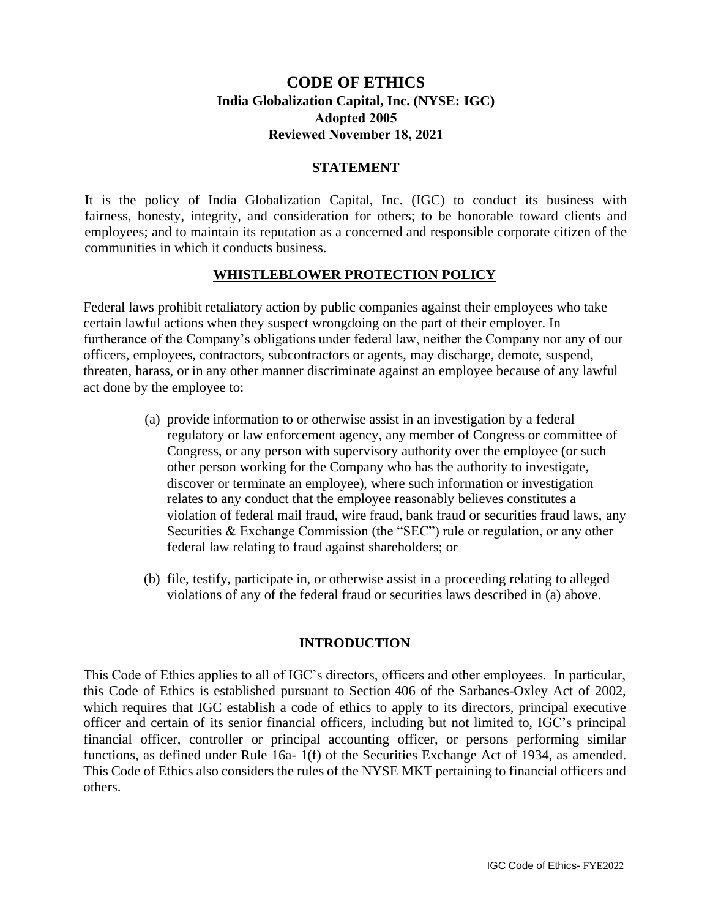# **CODE OF ETHICS India Globalization Capital, Inc. (NYSE: IGC) Adopted 2005 Reviewed November 18, 2021**

#### **STATEMENT**

It is the policy of India Globalization Capital, Inc. (IGC) to conduct its business with fairness, honesty, integrity, and consideration for others; to be honorable toward clients and employees; and to maintain its reputation as a concerned and responsible corporate citizen of the communities in which it conducts business.

#### **WHISTLEBLOWER PROTECTION POLICY**

Federal laws prohibit retaliatory action by public companies against their employees who take certain lawful actions when they suspect wrongdoing on the part of their employer. In furtherance of the Company's obligations under federal law, neither the Company nor any of our officers, employees, contractors, subcontractors or agents, may discharge, demote, suspend, threaten, harass, or in any other manner discriminate against an employee because of any lawful act done by the employee to:

- (a) provide information to or otherwise assist in an investigation by a federal regulatory or law enforcement agency, any member of Congress or committee of Congress, or any person with supervisory authority over the employee (or such other person working for the Company who has the authority to investigate, discover or terminate an employee), where such information or investigation relates to any conduct that the employee reasonably believes constitutes a violation of federal mail fraud, wire fraud, bank fraud or securities fraud laws, any Securities & Exchange Commission (the "SEC") rule or regulation, or any other federal law relating to fraud against shareholders; or
- (b) file, testify, participate in, or otherwise assist in a proceeding relating to alleged violations of any of the federal fraud or securities laws described in (a) above.

#### **INTRODUCTION**

This Code of Ethics applies to all of IGC's directors, officers and other employees. In particular, this Code of Ethics is established pursuant to Section 406 of the Sarbanes-Oxley Act of 2002, which requires that IGC establish a code of ethics to apply to its directors, principal executive officer and certain of its senior financial officers, including but not limited to, IGC's principal financial officer, controller or principal accounting officer, or persons performing similar functions, as defined under Rule 16a- 1(f) of the Securities Exchange Act of 1934, as amended. This Code of Ethics also considers the rules of the NYSE MKT pertaining to financial officers and others.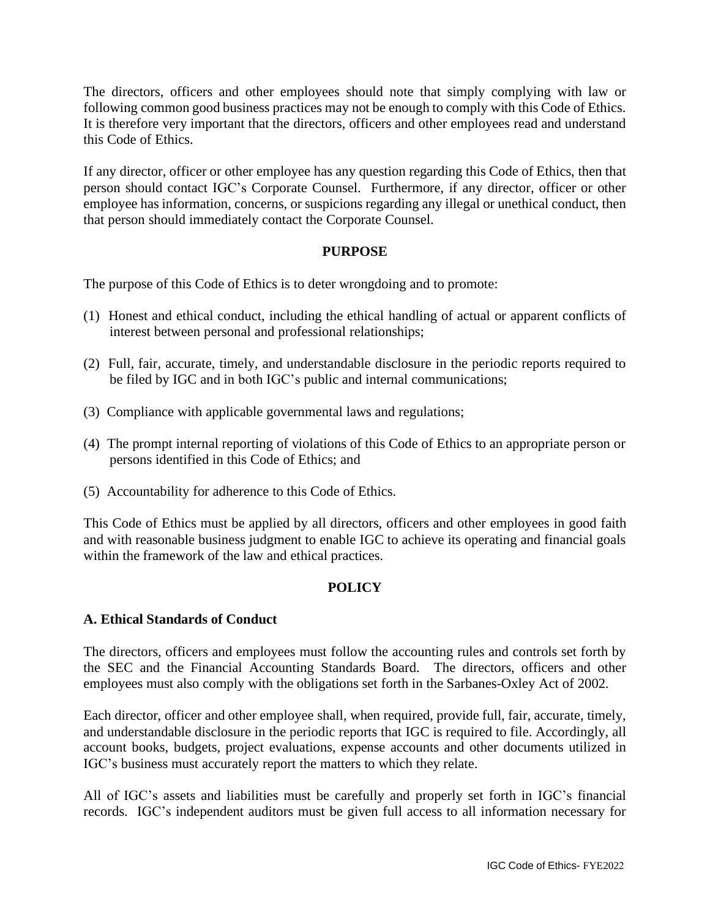The directors, officers and other employees should note that simply complying with law or following common good business practices may not be enough to comply with this Code of Ethics. It is therefore very important that the directors, officers and other employees read and understand this Code of Ethics.

If any director, officer or other employee has any question regarding this Code of Ethics, then that person should contact IGC's Corporate Counsel. Furthermore, if any director, officer or other employee has information, concerns, or suspicions regarding any illegal or unethical conduct, then that person should immediately contact the Corporate Counsel.

#### **PURPOSE**

The purpose of this Code of Ethics is to deter wrongdoing and to promote:

- (1) Honest and ethical conduct, including the ethical handling of actual or apparent conflicts of interest between personal and professional relationships;
- (2) Full, fair, accurate, timely, and understandable disclosure in the periodic reports required to be filed by IGC and in both IGC's public and internal communications;
- (3) Compliance with applicable governmental laws and regulations;
- (4) The prompt internal reporting of violations of this Code of Ethics to an appropriate person or persons identified in this Code of Ethics; and
- (5) Accountability for adherence to this Code of Ethics.

This Code of Ethics must be applied by all directors, officers and other employees in good faith and with reasonable business judgment to enable IGC to achieve its operating and financial goals within the framework of the law and ethical practices.

## **POLICY**

#### **A. Ethical Standards of Conduct**

The directors, officers and employees must follow the accounting rules and controls set forth by the SEC and the Financial Accounting Standards Board. The directors, officers and other employees must also comply with the obligations set forth in the Sarbanes-Oxley Act of 2002.

Each director, officer and other employee shall, when required, provide full, fair, accurate, timely, and understandable disclosure in the periodic reports that IGC is required to file. Accordingly, all account books, budgets, project evaluations, expense accounts and other documents utilized in IGC's business must accurately report the matters to which they relate.

All of IGC's assets and liabilities must be carefully and properly set forth in IGC's financial records. IGC's independent auditors must be given full access to all information necessary for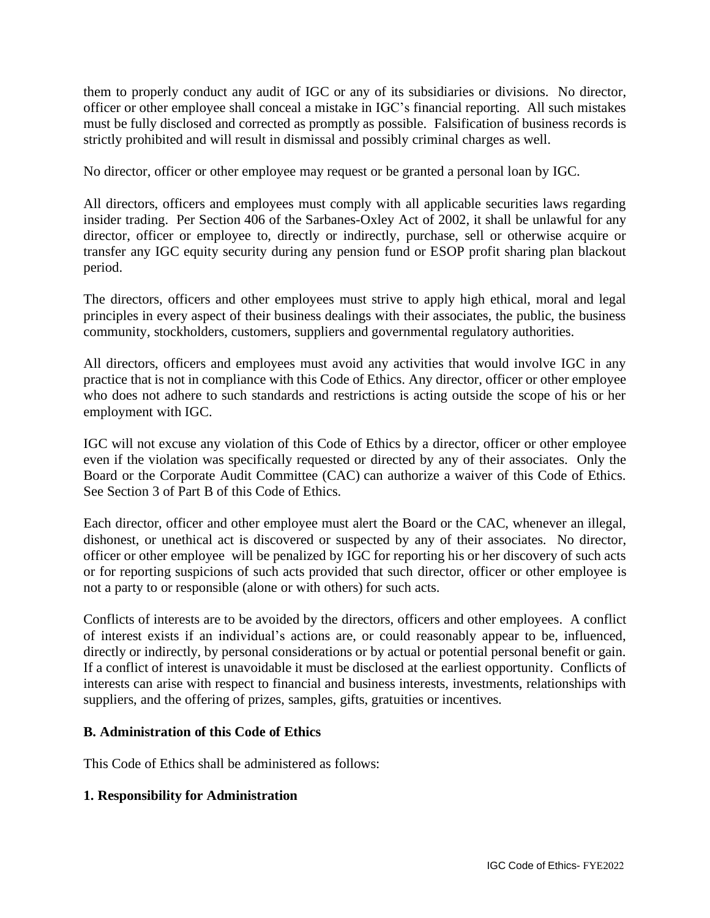them to properly conduct any audit of IGC or any of its subsidiaries or divisions. No director, officer or other employee shall conceal a mistake in IGC's financial reporting. All such mistakes must be fully disclosed and corrected as promptly as possible. Falsification of business records is strictly prohibited and will result in dismissal and possibly criminal charges as well.

No director, officer or other employee may request or be granted a personal loan by IGC.

All directors, officers and employees must comply with all applicable securities laws regarding insider trading. Per Section 406 of the Sarbanes-Oxley Act of 2002, it shall be unlawful for any director, officer or employee to, directly or indirectly, purchase, sell or otherwise acquire or transfer any IGC equity security during any pension fund or ESOP profit sharing plan blackout period.

The directors, officers and other employees must strive to apply high ethical, moral and legal principles in every aspect of their business dealings with their associates, the public, the business community, stockholders, customers, suppliers and governmental regulatory authorities.

All directors, officers and employees must avoid any activities that would involve IGC in any practice that is not in compliance with this Code of Ethics. Any director, officer or other employee who does not adhere to such standards and restrictions is acting outside the scope of his or her employment with IGC.

IGC will not excuse any violation of this Code of Ethics by a director, officer or other employee even if the violation was specifically requested or directed by any of their associates. Only the Board or the Corporate Audit Committee (CAC) can authorize a waiver of this Code of Ethics. See Section 3 of Part B of this Code of Ethics.

Each director, officer and other employee must alert the Board or the CAC, whenever an illegal, dishonest, or unethical act is discovered or suspected by any of their associates. No director, officer or other employee will be penalized by IGC for reporting his or her discovery of such acts or for reporting suspicions of such acts provided that such director, officer or other employee is not a party to or responsible (alone or with others) for such acts.

Conflicts of interests are to be avoided by the directors, officers and other employees. A conflict of interest exists if an individual's actions are, or could reasonably appear to be, influenced, directly or indirectly, by personal considerations or by actual or potential personal benefit or gain. If a conflict of interest is unavoidable it must be disclosed at the earliest opportunity. Conflicts of interests can arise with respect to financial and business interests, investments, relationships with suppliers, and the offering of prizes, samples, gifts, gratuities or incentives.

#### **B. Administration of this Code of Ethics**

This Code of Ethics shall be administered as follows:

## **1. Responsibility for Administration**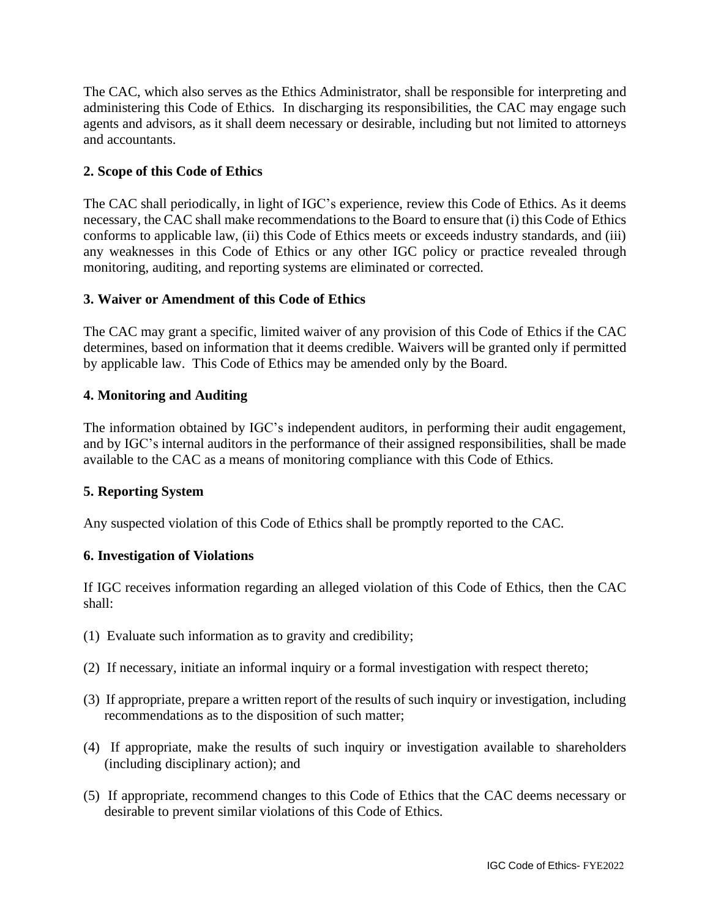The CAC, which also serves as the Ethics Administrator, shall be responsible for interpreting and administering this Code of Ethics. In discharging its responsibilities, the CAC may engage such agents and advisors, as it shall deem necessary or desirable, including but not limited to attorneys and accountants.

# **2. Scope of this Code of Ethics**

The CAC shall periodically, in light of IGC's experience, review this Code of Ethics. As it deems necessary, the CAC shall make recommendations to the Board to ensure that (i) this Code of Ethics conforms to applicable law, (ii) this Code of Ethics meets or exceeds industry standards, and (iii) any weaknesses in this Code of Ethics or any other IGC policy or practice revealed through monitoring, auditing, and reporting systems are eliminated or corrected.

## **3. Waiver or Amendment of this Code of Ethics**

The CAC may grant a specific, limited waiver of any provision of this Code of Ethics if the CAC determines, based on information that it deems credible. Waivers will be granted only if permitted by applicable law. This Code of Ethics may be amended only by the Board.

## **4. Monitoring and Auditing**

The information obtained by IGC's independent auditors, in performing their audit engagement, and by IGC's internal auditors in the performance of their assigned responsibilities, shall be made available to the CAC as a means of monitoring compliance with this Code of Ethics.

## **5. Reporting System**

Any suspected violation of this Code of Ethics shall be promptly reported to the CAC.

## **6. Investigation of Violations**

If IGC receives information regarding an alleged violation of this Code of Ethics, then the CAC shall:

- (1) Evaluate such information as to gravity and credibility;
- (2) If necessary, initiate an informal inquiry or a formal investigation with respect thereto;
- (3) If appropriate, prepare a written report of the results of such inquiry or investigation, including recommendations as to the disposition of such matter;
- (4) If appropriate, make the results of such inquiry or investigation available to shareholders (including disciplinary action); and
- (5) If appropriate, recommend changes to this Code of Ethics that the CAC deems necessary or desirable to prevent similar violations of this Code of Ethics.